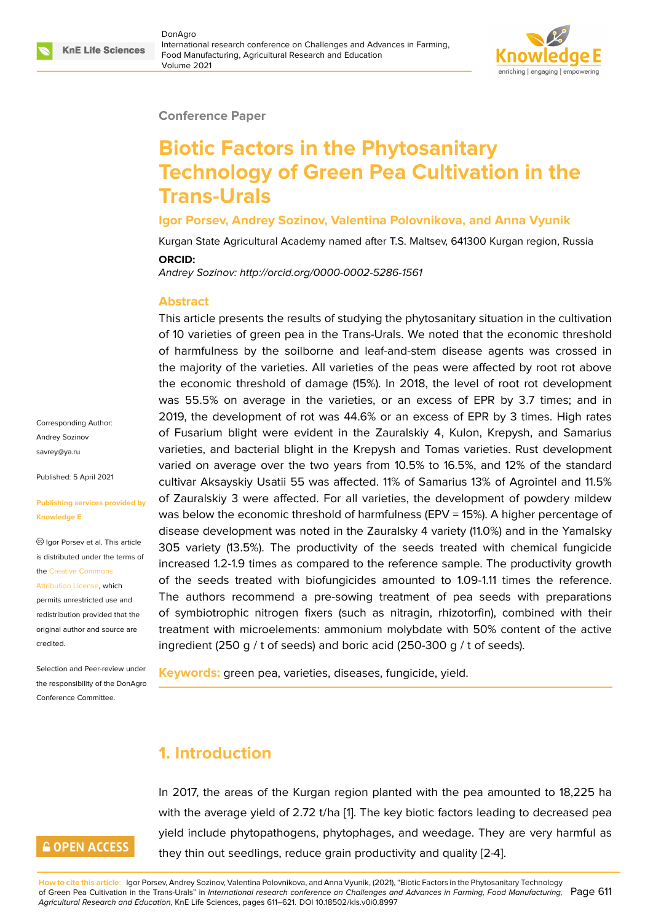### **Conference Paper**

# **Biotic Factors in the Phytosanitary Technology of Green Pea Cultivation in the Trans-Urals**

### **Igor Porsev, Andrey Sozinov, Valentina Polovnikova, and Anna Vyunik**

Kurgan State Agricultural Academy named after T.S. Maltsev, 641300 Kurgan region, Russia **ORCID:**

*Andrey Sozinov: http://orcid.org/0000-0002-5286-1561*

### **Abstract**

This article presents the results of studying the phytosanitary situation in the cultivation of 10 varieties of green pea in the Trans-Urals. We noted that the economic threshold of harmfulness by the soilborne and leaf-and-stem disease agents was crossed in the majority of the varieties. All varieties of the peas were affected by root rot above the economic threshold of damage (15%). In 2018, the level of root rot development was 55.5% on average in the varieties, or an excess of EPR by 3.7 times; and in 2019, the development of rot was 44.6% or an excess of EPR by 3 times. High rates of Fusarium blight were evident in the Zauralskiy 4, Kulon, Krepysh, and Samarius varieties, and bacterial blight in the Krepysh and Tomas varieties. Rust development varied on average over the two years from 10.5% to 16.5%, and 12% of the standard cultivar Aksayskiy Usatii 55 was affected. 11% of Samarius 13% of Agrointel and 11.5% of Zauralskiy 3 were affected. For all varieties, the development of powdery mildew was below the economic threshold of harmfulness (EPV = 15%). A higher percentage of disease development was noted in the Zauralsky 4 variety (11.0%) and in the Yamalsky 305 variety (13.5%). The productivity of the seeds treated with chemical fungicide increased 1.2-1.9 times as compared to the reference sample. The productivity growth of the seeds treated with biofungicides amounted to 1.09-1.11 times the reference. The authors recommend a pre-sowing treatment of pea seeds with preparations of symbiotrophic nitrogen fixers (such as nitragin, rhizotorfin), combined with their treatment with microelements: ammonium molybdate with 50% content of the active ingredient (250 g / t of seeds) and boric acid (250-300 g / t of seeds).

**Keywords:** green pea, varieties, diseases, fungicide, yield.

# **1. Introduction**

In 2017, the areas of the Kurgan region planted with the pea amounted to 18,225 ha with the average yield of 2.72 t/ha [1]. The key biotic factors leading to decreased pea yield include phytopathogens, phytophages, and weedage. They are very harmful as they thin out seedlings, reduce grain productivity and quality [2-4].

Corresponding Author: Andrey Sozinov savrey@ya.ru

Published: 5 April 2021

#### **[Publishing se](mailto:savrey@ya.ru)rvices provided by Knowledge E**

Igor Porsev et al. This article is distributed under the terms of the Creative Commons

Attribution License, which

permits unrestricted use and redistribution provided that the orig[inal author and sou](https://creativecommons.org/licenses/by/4.0/)rce are [credited.](https://creativecommons.org/licenses/by/4.0/)

Selection and Peer-review under the responsibility of the DonAgro Conference Committee.

# **GOPEN ACCESS**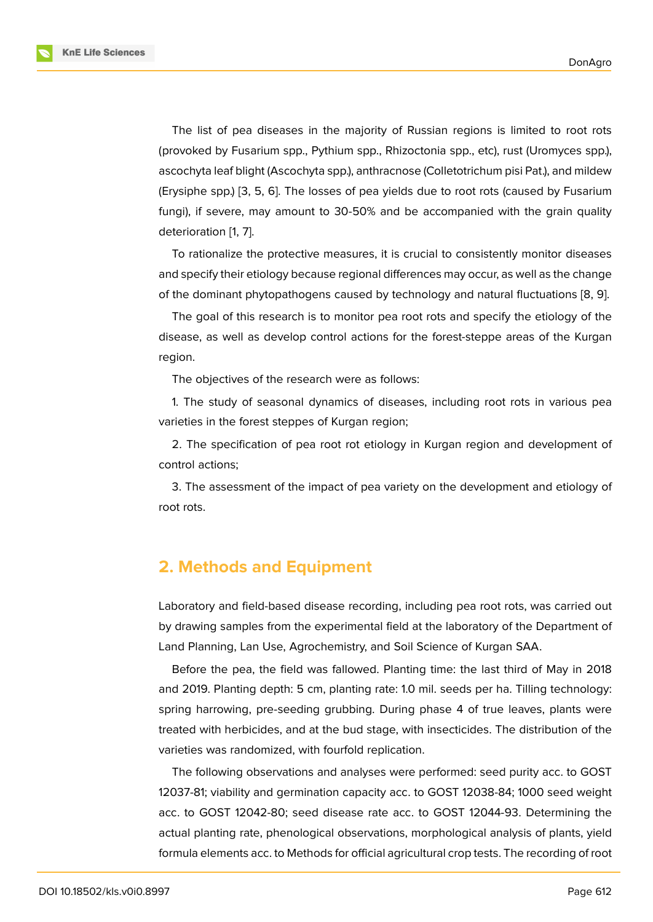The list of pea diseases in the majority of Russian regions is limited to root rots (provoked by Fusarium spp., Pythium spp., Rhizoctonia spp., etc), rust (Uromyces spp.), ascochyta leaf blight (Ascochyta spp.), anthracnose (Colletotrichum pisi Pat.), and mildew (Erysiphe spp.) [3, 5, 6]. The losses of pea yields due to root rots (caused by Fusarium fungi), if severe, may amount to 30-50% and be accompanied with the grain quality deterioration [1, 7].

To rationaliz[e t](#page-9-0)[he](#page-9-1) [pr](#page-10-0)otective measures, it is crucial to consistently monitor diseases and specify their etiology because regional differences may occur, as well as the change of the domina[n](#page-9-2)t [p](#page-10-1)hytopathogens caused by technology and natural fluctuations [8, 9].

The goal of this research is to monitor pea root rots and specify the etiology of the disease, as well as develop control actions for the forest-steppe areas of the Kurgan region.

The objectives of the research were as follows:

1. The study of seasonal dynamics of diseases, including root rots in various pea varieties in the forest steppes of Kurgan region;

2. The specification of pea root rot etiology in Kurgan region and development of control actions;

3. The assessment of the impact of pea variety on the development and etiology of root rots.

# **2. Methods and Equipment**

Laboratory and field-based disease recording, including pea root rots, was carried out by drawing samples from the experimental field at the laboratory of the Department of Land Planning, Lan Use, Agrochemistry, and Soil Science of Kurgan SAA.

Before the pea, the field was fallowed. Planting time: the last third of May in 2018 and 2019. Planting depth: 5 cm, planting rate: 1.0 mil. seeds per ha. Tilling technology: spring harrowing, pre-seeding grubbing. During phase 4 of true leaves, plants were treated with herbicides, and at the bud stage, with insecticides. The distribution of the varieties was randomized, with fourfold replication.

The following observations and analyses were performed: seed purity acc. to GOST 12037-81; viability and germination capacity acc. to GOST 12038-84; 1000 seed weight acc. to GOST 12042-80; seed disease rate acc. to GOST 12044-93. Determining the actual planting rate, phenological observations, morphological analysis of plants, yield formula elements acc. to Methods for official agricultural crop tests. The recording of root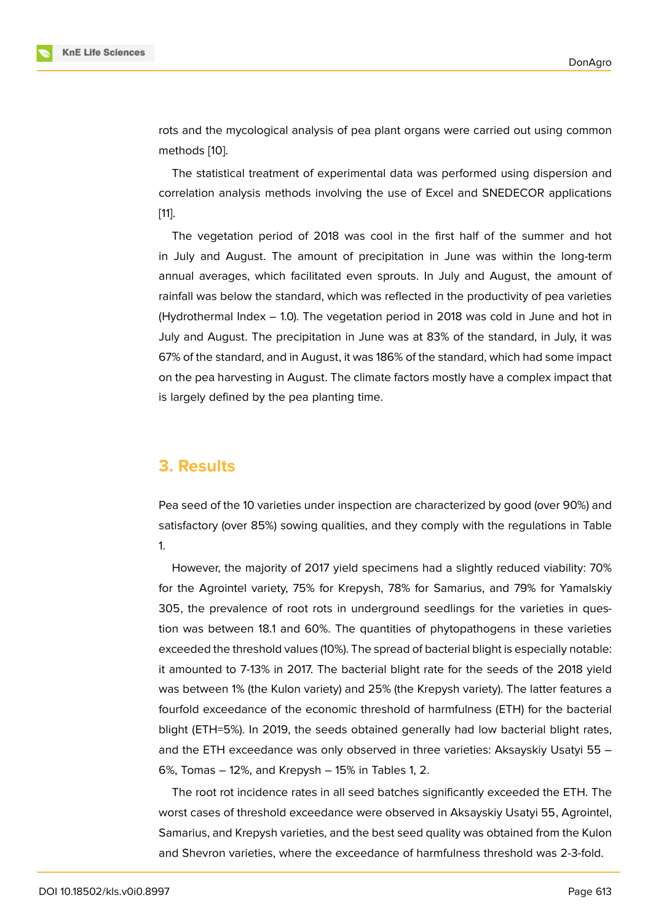rots and the mycological analysis of pea plant organs were carried out using common methods [10].

The statistical treatment of experimental data was performed using dispersion and correlation analysis methods involving the use of Excel and SNEDECOR applications [11].

The vegetation period of 2018 was cool in the first half of the summer and hot in July and August. The amount of precipitation in June was within the long-term [an](#page-10-2)nual averages, which facilitated even sprouts. In July and August, the amount of rainfall was below the standard, which was reflected in the productivity of pea varieties (Hydrothermal Index – 1.0). The vegetation period in 2018 was cold in June and hot in July and August. The precipitation in June was at 83% of the standard, in July, it was 67% of the standard, and in August, it was 186% of the standard, which had some impact on the pea harvesting in August. The climate factors mostly have a complex impact that is largely defined by the pea planting time.

### **3. Results**

Pea seed of the 10 varieties under inspection are characterized by good (over 90%) and satisfactory (over 85%) sowing qualities, and they comply with the regulations in Table 1.

However, the majority of 2017 yield specimens had a slightly reduced viability: 70% for the Agrointel variety, 75% for Krepysh, 78% for Samarius, and 79% for Yamalskiy 305, the prevalence of root rots in underground seedlings for the varieties in question was between 18.1 and 60%. The quantities of phytopathogens in these varieties exceeded the threshold values (10%). The spread of bacterial blight is especially notable: it amounted to 7-13% in 2017. The bacterial blight rate for the seeds of the 2018 yield was between 1% (the Kulon variety) and 25% (the Krepysh variety). The latter features a fourfold exceedance of the economic threshold of harmfulness (ETH) for the bacterial blight (ETH=5%). In 2019, the seeds obtained generally had low bacterial blight rates, and the ETH exceedance was only observed in three varieties: Aksayskiy Usatyi 55 – 6%, Tomas – 12%, and Krepysh – 15% in Tables 1, 2.

The root rot incidence rates in all seed batches significantly exceeded the ETH. The worst cases of threshold exceedance were observed in Aksayskiy Usatyi 55, Agrointel, Samarius, and Krepysh varieties, and the best seed quality was obtained from the Kulon and Shevron varieties, where the exceedance of harmfulness threshold was 2-3-fold.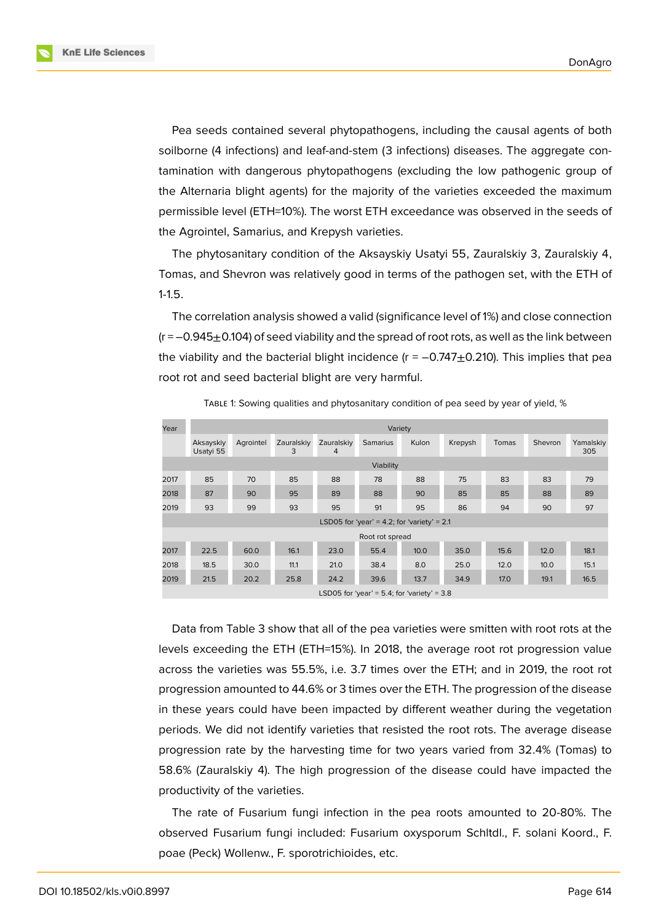**KnE Life Sciences** 



Pea seeds contained several phytopathogens, including the causal agents of both soilborne (4 infections) and leaf-and-stem (3 infections) diseases. The aggregate contamination with dangerous phytopathogens (excluding the low pathogenic group of the Alternaria blight agents) for the majority of the varieties exceeded the maximum permissible level (ETH=10%). The worst ETH exceedance was observed in the seeds of the Agrointel, Samarius, and Krepysh varieties.

The phytosanitary condition of the Aksayskiy Usatyi 55, Zauralskiy 3, Zauralskiy 4, Tomas, and Shevron was relatively good in terms of the pathogen set, with the ETH of 1-1.5.

The correlation analysis showed a valid (significance level of 1%) and close connection  $(r = -0.945 \pm 0.104)$  of seed viability and the spread of root rots, as well as the link between the viability and the bacterial blight incidence  $(r = -0.747 \pm 0.210)$ . This implies that pea root rot and seed bacterial blight are very harmful.

| Year | Variety                |           |                 |                 |                                               |       |         |       |         |                  |
|------|------------------------|-----------|-----------------|-----------------|-----------------------------------------------|-------|---------|-------|---------|------------------|
|      | Aksayskiy<br>Usatyi 55 | Agrointel | Zauralskiy<br>3 | Zauralskiv<br>4 | <b>Samarius</b>                               | Kulon | Krepysh | Tomas | Shevron | Yamalskiy<br>305 |
|      |                        |           |                 |                 | Viability                                     |       |         |       |         |                  |
| 2017 | 85                     | 70        | 85              | 88              | 78                                            | 88    | 75      | 83    | 83      | 79               |
| 2018 | 87                     | 90        | 95              | 89              | 88                                            | 90    | 85      | 85    | 88      | 89               |
| 2019 | 93                     | 99        | 93              | 95              | 91                                            | 95    | 86      | 94    | 90      | 97               |
|      |                        |           |                 |                 | LSD05 for 'year' = 4.2; for 'variety' = $2.1$ |       |         |       |         |                  |
|      |                        |           |                 |                 | Root rot spread                               |       |         |       |         |                  |
| 2017 | 22.5                   | 60.0      | 16.1            | 23.0            | 55.4                                          | 10.0  | 35.0    | 15.6  | 12.0    | 18.1             |
| 2018 | 18.5                   | 30.0      | 11.1            | 21.0            | 38.4                                          | 8.0   | 25.0    | 12.0  | 10.0    | 15.1             |
| 2019 | 21.5                   | 20.2      | 25.8            | 24.2            | 39.6                                          | 13.7  | 34.9    | 17.0  | 19.1    | 16.5             |

TABLE 1: Sowing qualities and phytosanitary condition of pea seed by year of yield, %

LSD05 for 'year' =  $5.4$ ; for 'variety' =  $3.8$ 

Data from Table 3 show that all of the pea varieties were smitten with root rots at the levels exceeding the ETH (ETH=15%). In 2018, the average root rot progression value across the varieties was 55.5%, i.e. 3.7 times over the ETH; and in 2019, the root rot progression amounted to 44.6% or 3 times over the ETH. The progression of the disease in these years could have been impacted by different weather during the vegetation periods. We did not identify varieties that resisted the root rots. The average disease progression rate by the harvesting time for two years varied from 32.4% (Tomas) to 58.6% (Zauralskiy 4). The high progression of the disease could have impacted the productivity of the varieties.

The rate of Fusarium fungi infection in the pea roots amounted to 20-80%. The observed Fusarium fungi included: Fusarium oxysporum Schltdl., F. solani Koord., F. poae (Peck) Wollenw., F. sporotrichioides, etc.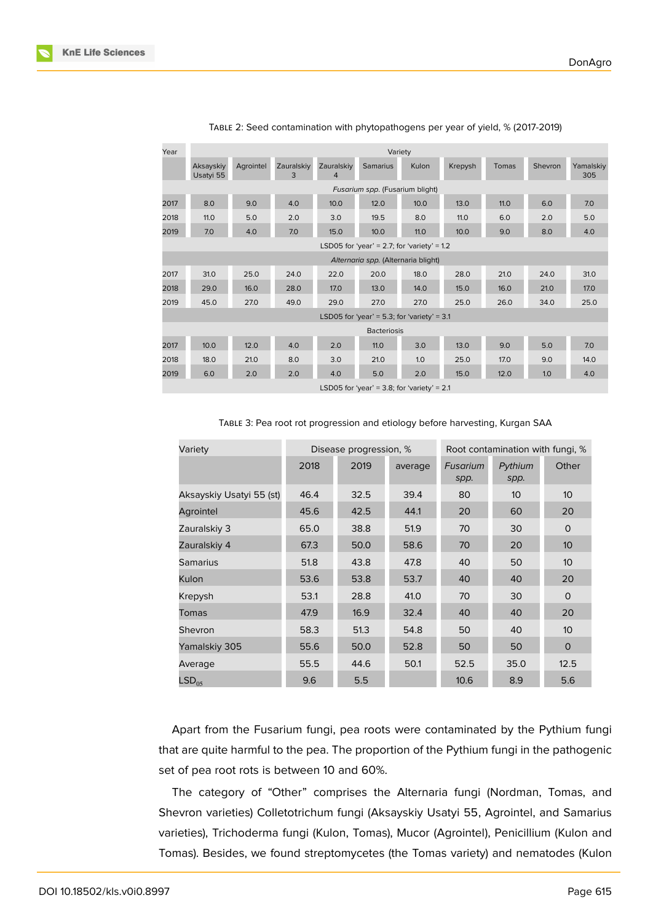| Year                                | Variety                                       |           |                 |                              |                                             |       |         |              |         |                  |
|-------------------------------------|-----------------------------------------------|-----------|-----------------|------------------------------|---------------------------------------------|-------|---------|--------------|---------|------------------|
|                                     | Aksayskiy<br>Usatyi 55                        | Agrointel | Zauralskiy<br>3 | Zauralskiy<br>$\overline{4}$ | <b>Samarius</b>                             | Kulon | Krepysh | <b>Tomas</b> | Shevron | Yamalskiy<br>305 |
|                                     | Fusarium spp. (Fusarium blight)               |           |                 |                              |                                             |       |         |              |         |                  |
| 2017                                | 8.0                                           | 9.0       | 4.0             | 10.0                         | 12.0                                        | 10.0  | 13.0    | 11.0         | 6.0     | 7.0              |
| 2018                                | 11.0                                          | 5.0       | 2.0             | 3.0                          | 19.5                                        | 8.0   | 11.0    | 6.0          | 2.0     | 5.0              |
| 2019                                | 7.0                                           | 4.0       | 7.0             | 15.0                         | 10.0                                        | 11.0  | 10.0    | 9.0          | 8.0     | 4.0              |
|                                     |                                               |           |                 |                              | LSD05 for 'year' = 2.7; for 'variety' = 1.2 |       |         |              |         |                  |
| Alternaria spp. (Alternaria blight) |                                               |           |                 |                              |                                             |       |         |              |         |                  |
| 2017                                | 31.0                                          | 25.0      | 24.0            | 22.0                         | 20.0                                        | 18.0  | 28.0    | 21.0         | 24.0    | 31.0             |
| 2018                                | 29.0                                          | 16.0      | 28.0            | 17.0                         | 13.0                                        | 14.0  | 15.0    | 16.0         | 21.0    | 17.0             |
| 2019                                | 45.0                                          | 27.0      | 49.0            | 29.0                         | 27.0                                        | 27.0  | 25.0    | 26.0         | 34.0    | 25.0             |
|                                     |                                               |           |                 |                              | LSD05 for 'year' = 5.3; for 'variety' = 3.1 |       |         |              |         |                  |
|                                     | <b>Bacteriosis</b>                            |           |                 |                              |                                             |       |         |              |         |                  |
| 2017                                | 10.0                                          | 12.0      | 4.0             | 2.0                          | 11.0                                        | 3.0   | 13.0    | 9.0          | 5.0     | 7.0              |
| 2018                                | 18.0                                          | 21.0      | 8.0             | 3.0                          | 21.0                                        | 1.0   | 25.0    | 17.0         | 9.0     | 14.0             |
| 2019                                | 6.0                                           | 2.0       | 2.0             | 4.0                          | 5.0                                         | 2.0   | 15.0    | 12.0         | 1.0     | 4.0              |
|                                     | LSD05 for 'year' = 3.8; for 'variety' = $2.1$ |           |                 |                              |                                             |       |         |              |         |                  |

#### TABLE 2: Seed contamination with phytopathogens per year of yield, % (2017-2019)

| Variety                  |      | Disease progression, % |         | Root contamination with fungi, % |                 |                 |  |
|--------------------------|------|------------------------|---------|----------------------------------|-----------------|-----------------|--|
|                          | 2018 | 2019                   | average | Fusarium<br>spp.                 | Pythium<br>spp. | Other           |  |
| Aksayskiy Usatyi 55 (st) | 46.4 | 32.5                   | 39.4    | 80                               | 10              | 10 <sup>°</sup> |  |
| Agrointel                | 45.6 | 42.5                   | 44.1    | 20                               | 60              | 20              |  |
| Zauralskiy 3             | 65.0 | 38.8                   | 51.9    | 70                               | 30              | $\Omega$        |  |
| Zauralskiy 4             | 67.3 | 50.0                   | 58.6    | 70                               | 20              | 10              |  |
| <b>Samarius</b>          | 51.8 | 43.8                   | 47.8    | 40                               | 50              | 10              |  |
| Kulon                    | 53.6 | 53.8                   | 53.7    | 40                               | 40              | 20              |  |
| Krepysh                  | 53.1 | 28.8                   | 41.0    | 70                               | 30              | $\circ$         |  |
| Tomas                    | 47.9 | 16.9                   | 32.4    | 40                               | 40              | 20              |  |
| Shevron                  | 58.3 | 51.3                   | 54.8    | 50                               | 40              | 10              |  |
| Yamalskiy 305            | 55.6 | 50.0                   | 52.8    | 50                               | 50              | $\mathbf{O}$    |  |

TABLE 3: Pea root rot progression and etiology before harvesting, Kurgan SAA

Apart from the Fusarium fungi, pea roots were contaminated by the Pythium fungi that are quite harmful to the pea. The proportion of the Pythium fungi in the pathogenic set of pea root rots is between 10 and 60%.

Average 55.5 44.6 50.1 52.5 35.0 12.5  $\mathsf{LSD}_{05}$  9.6 5.5 10.6 8.9 5.6

The category of "Other" comprises the Alternaria fungi (Nordman, Tomas, and Shevron varieties) Colletotrichum fungi (Aksayskiy Usatyi 55, Agrointel, and Samarius varieties), Trichoderma fungi (Kulon, Tomas), Mucor (Agrointel), Penicillium (Kulon and Tomas). Besides, we found streptomycetes (the Tomas variety) and nematodes (Kulon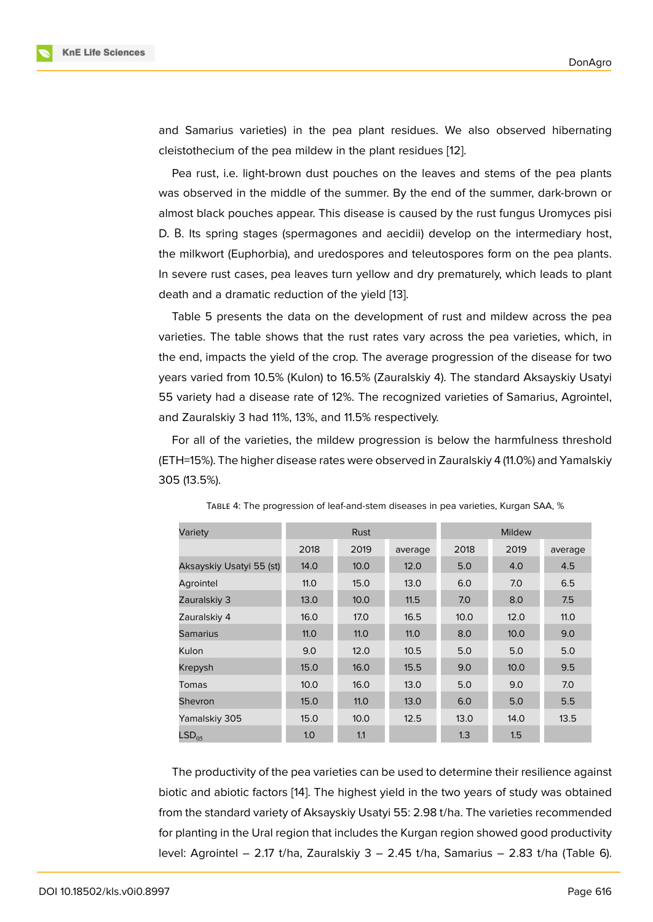and Samarius varieties) in the pea plant residues. We also observed hibernating cleistothecium of the pea mildew in the plant residues [12].

Pea rust, i.e. light-brown dust pouches on the leaves and stems of the pea plants was observed in the middle of the summer. By the end of the summer, dark-brown or almost black pouches appear. This disease is caused b[y th](#page-10-3)e rust fungus Uromyces pisi D. В. Its spring stages (spermagones and aecidii) develop on the intermediary host, the milkwort (Euphorbia), and uredospores and teleutospores form on the pea plants. In severe rust cases, pea leaves turn yellow and dry prematurely, which leads to plant death and a dramatic reduction of the yield [13].

Table 5 presents the data on the development of rust and mildew across the pea varieties. The table shows that the rust rates vary across the pea varieties, which, in the end, impacts the yield of the crop. The a[ve](#page-10-4)rage progression of the disease for two years varied from 10.5% (Kulon) to 16.5% (Zauralskiy 4). The standard Aksayskiy Usatyi 55 variety had a disease rate of 12%. The recognized varieties of Samarius, Agrointel, and Zauralskiy 3 had 11%, 13%, and 11.5% respectively.

For all of the varieties, the mildew progression is below the harmfulness threshold (ETH=15%). The higher disease rates were observed in Zauralskiy 4 (11.0%) and Yamalskiy 305 (13.5%).

| Variety                  |      | <b>Rust</b> |         |      |      |         |
|--------------------------|------|-------------|---------|------|------|---------|
|                          | 2018 | 2019        | average | 2018 | 2019 | average |
| Aksayskiy Usatyi 55 (st) | 14.0 | 10.0        | 12.0    | 5.0  | 4.0  | 4.5     |
| Agrointel                | 11.0 | 15.0        | 13.0    | 6.0  | 7.0  | 6.5     |
| Zauralskiy 3             | 13.0 | 10.0        | 11.5    | 7.0  | 8.0  | 7.5     |
| Zauralskiy 4             | 16.0 | 17.0        | 16.5    | 10.0 | 12.0 | 11.0    |
| <b>Samarius</b>          | 11.0 | 11.0        | 11.0    | 8.0  | 10.0 | 9.0     |
| Kulon                    | 9.0  | 12.0        | 10.5    | 5.0  | 5.0  | 5.0     |
| Krepysh                  | 15.0 | 16.0        | 15.5    | 9.0  | 10.0 | 9.5     |
| Tomas                    | 10.0 | 16.0        | 13.0    | 5.0  | 9.0  | 7.0     |
| Shevron                  | 15.0 | 11.0        | 13.0    | 6.0  | 5.0  | 5.5     |
| Yamalskiy 305            | 15.0 | 10.0        | 12.5    | 13.0 | 14.0 | 13.5    |
| LSD <sub>05</sub>        | 1.0  | 1.1         |         | 1.3  | 1.5  |         |

TABLE 4: The progression of leaf-and-stem diseases in pea varieties, Kurgan SAA, %

The productivity of the pea varieties can be used to determine their resilience against biotic and abiotic factors [14]. The highest yield in the two years of study was obtained from the standard variety of Aksayskiy Usatyi 55: 2.98 t/ha. The varieties recommended for planting in the Ural region that includes the Kurgan region showed good productivity level: Agrointel – 2.17 t/h[a,](#page-10-5) Zauralskiy 3 – 2.45 t/ha, Samarius – 2.83 t/ha (Table 6).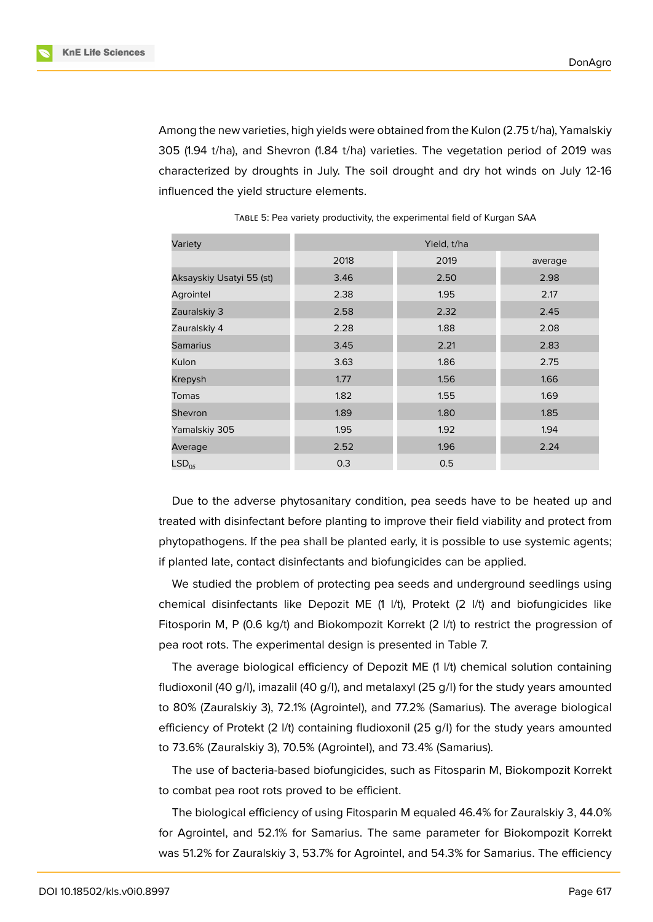

Among the new varieties, high yields were obtained from the Kulon (2.75 t/ha), Yamalskiy 305 (1.94 t/ha), and Shevron (1.84 t/ha) varieties. The vegetation period of 2019 was characterized by droughts in July. The soil drought and dry hot winds on July 12-16 influenced the yield structure elements.

| Variety                  | Yield, t/ha |      |         |  |  |  |  |
|--------------------------|-------------|------|---------|--|--|--|--|
|                          | 2018        | 2019 | average |  |  |  |  |
| Aksayskiy Usatyi 55 (st) | 3.46        | 2.50 | 2.98    |  |  |  |  |
| Agrointel                | 2.38        | 1.95 | 2.17    |  |  |  |  |
| Zauralskiy 3             | 2.58        | 2.32 | 2.45    |  |  |  |  |
| Zauralskiy 4             | 2.28        | 1.88 | 2.08    |  |  |  |  |
| <b>Samarius</b>          | 3.45        | 2.21 | 2.83    |  |  |  |  |
| Kulon                    | 3.63        | 1.86 | 2.75    |  |  |  |  |
| Krepysh                  | 1.77        | 1.56 | 1.66    |  |  |  |  |
| Tomas                    | 1.82        | 1.55 | 1.69    |  |  |  |  |
| Shevron                  | 1.89        | 1.80 | 1.85    |  |  |  |  |
| Yamalskiy 305            | 1.95        | 1.92 | 1.94    |  |  |  |  |
| Average                  | 2.52        | 1.96 | 2.24    |  |  |  |  |
| LSD <sub>05</sub>        | 0.3         | 0.5  |         |  |  |  |  |

TABLE 5: Pea variety productivity, the experimental field of Kurgan SAA

Due to the adverse phytosanitary condition, pea seeds have to be heated up and treated with disinfectant before planting to improve their field viability and protect from phytopathogens. If the pea shall be planted early, it is possible to use systemic agents; if planted late, contact disinfectants and biofungicides can be applied.

We studied the problem of protecting pea seeds and underground seedlings using chemical disinfectants like Depozit ME (1 l/t), Protekt (2 l/t) and biofungicides like Fitosporin M, P (0.6 kg/t) and Biokompozit Korrekt (2 l/t) to restrict the progression of pea root rots. The experimental design is presented in Table 7.

The average biological efficiency of Depozit ME (1 l/t) chemical solution containing fludioxonil (40 g/l), imazalil (40 g/l), and metalaxyl (25 g/l) for the study years amounted to 80% (Zauralskiy 3), 72.1% (Agrointel), and 77.2% (Samarius). The average biological efficiency of Protekt (2 l/t) containing fludioxonil (25 g/l) for the study years amounted to 73.6% (Zauralskiy 3), 70.5% (Agrointel), and 73.4% (Samarius).

The use of bacteria-based biofungicides, such as Fitosparin M, Biokompozit Korrekt to combat pea root rots proved to be efficient.

The biological efficiency of using Fitosparin M equaled 46.4% for Zauralskiy 3, 44.0% for Agrointel, and 52.1% for Samarius. The same parameter for Biokompozit Korrekt was 51.2% for Zauralskiy 3, 53.7% for Agrointel, and 54.3% for Samarius. The efficiency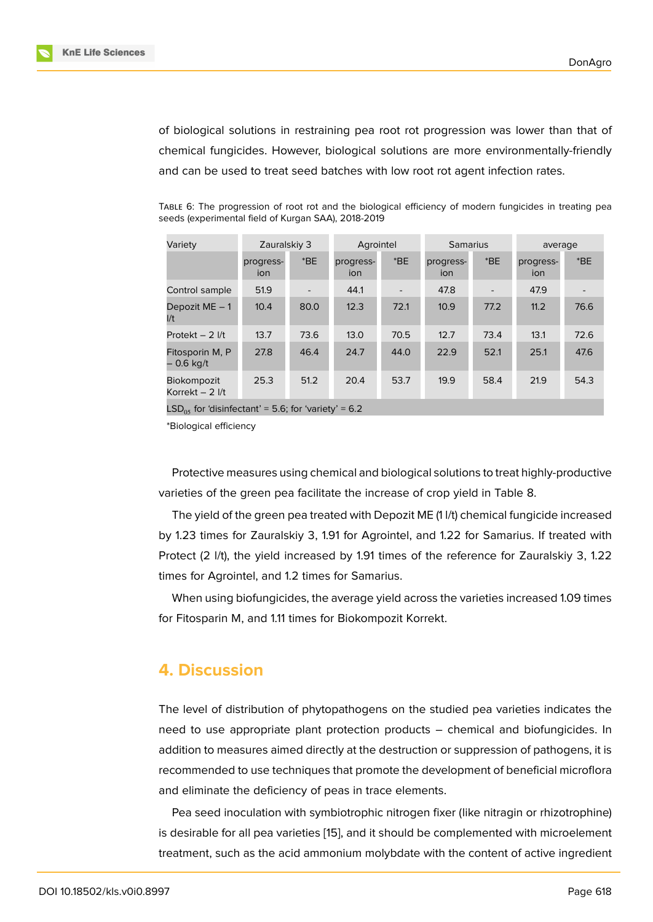of biological solutions in restraining pea root rot progression was lower than that of chemical fungicides. However, biological solutions are more environmentally-friendly and can be used to treat seed batches with low root rot agent infection rates.

|         | seeds (experimental field of Kurgan SAA), 2018-2019 |           |          |         |  |
|---------|-----------------------------------------------------|-----------|----------|---------|--|
| Variety | Zauralskiy 3                                        | Agrointel | Samarius | average |  |

TABLE 6: The progression of root rot and the biological efficiency of modern fungicides in treating pea

| Variety                         | Zauralskiy 3     |       | Agrointel        |                          | <b>Samarius</b>  |         | average          |       |
|---------------------------------|------------------|-------|------------------|--------------------------|------------------|---------|------------------|-------|
|                                 | progress-<br>ion | $*BE$ | progress-<br>ion | $*BE$                    | progress-<br>ion | $E^*BE$ | progress-<br>ion | $*BE$ |
| Control sample                  | 51.9             |       | 44.1             | $\overline{\phantom{0}}$ | 47.8             |         | 47.9             |       |
| Depozit $ME - 1$<br>1/t         | 10.4             | 80.0  | 12.3             | 72.1                     | 10.9             | 77.2    | 11.2             | 76.6  |
| Protekt $-2$ I/t                | 13.7             | 73.6  | 13.0             | 70.5                     | 12.7             | 73.4    | 13.1             | 72.6  |
| Fitosporin M, P<br>– 0.6 kg/t   | 27.8             | 46.4  | 24.7             | 44.0                     | 22.9             | 52.1    | 25.1             | 47.6  |
| Biokompozit<br>Korrekt $-2$ I/t | 25.3             | 51.2  | 20.4             | 53.7                     | 19.9             | 58.4    | 21.9             | 54.3  |
|                                 |                  |       |                  |                          |                  |         |                  |       |

LSD<sub>05</sub> for 'disinfectant' = 5.6; for 'variety' = 6.2

\*Biological efficiency

Protective measures using chemical and biological solutions to treat highly-productive varieties of the green pea facilitate the increase of crop yield in Table 8.

The yield of the green pea treated with Depozit ME (1 l/t) chemical fungicide increased by 1.23 times for Zauralskiy 3, 1.91 for Agrointel, and 1.22 for Samarius. If treated with Protect (2 l/t), the yield increased by 1.91 times of the reference for Zauralskiy 3, 1.22 times for Agrointel, and 1.2 times for Samarius.

When using biofungicides, the average yield across the varieties increased 1.09 times for Fitosparin M, and 1.11 times for Biokompozit Korrekt.

### **4. Discussion**

The level of distribution of phytopathogens on the studied pea varieties indicates the need to use appropriate plant protection products – chemical and biofungicides. In addition to measures aimed directly at the destruction or suppression of pathogens, it is recommended to use techniques that promote the development of beneficial microflora and eliminate the deficiency of peas in trace elements.

Pea seed inoculation with symbiotrophic nitrogen fixer (like nitragin or rhizotrophine) is desirable for all pea varieties [15], and it should be complemented with microelement treatment, such as the acid ammonium molybdate with the content of active ingredient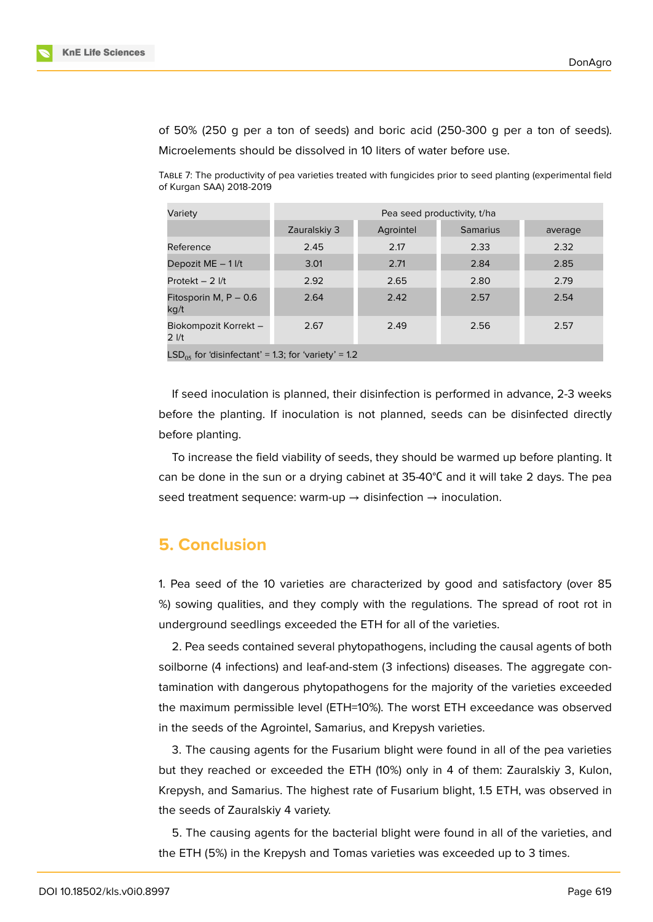



of 50% (250 g per a ton of seeds) and boric acid (250-300 g per a ton of seeds). Microelements should be dissolved in 10 liters of water before use.

TABLE 7: The productivity of pea varieties treated with fungicides prior to seed planting (experimental field of Kurgan SAA) 2018-2019

| Variety                                               | Pea seed productivity, t/ha |           |                 |         |  |  |  |  |
|-------------------------------------------------------|-----------------------------|-----------|-----------------|---------|--|--|--|--|
|                                                       | Zauralskiy 3                | Agrointel | <b>Samarius</b> | average |  |  |  |  |
| Reference                                             | 2.45                        | 2.17      | 2.33            | 2.32    |  |  |  |  |
| Depozit ME - 1 I/t                                    | 3.01                        | 2.71      | 2.84            | 2.85    |  |  |  |  |
| Protekt $-2$ I/t                                      | 2.92                        | 2.65      | 2.80            | 2.79    |  |  |  |  |
| Fitosporin M, $P - 0.6$<br>kg/t                       | 2.64                        | 2.42      | 2.57            | 2.54    |  |  |  |  |
| Biokompozit Korrekt -<br>$2$ $1/t$                    | 2.67                        | 2.49      | 2.56            | 2.57    |  |  |  |  |
| $LSDos$ for 'disinfectant' = 1.3; for 'variety' = 1.2 |                             |           |                 |         |  |  |  |  |

If seed inoculation is planned, their disinfection is performed in advance, 2-3 weeks before the planting. If inoculation is not planned, seeds can be disinfected directly before planting.

To increase the field viability of seeds, they should be warmed up before planting. It can be done in the sun or a drying cabinet at 35-40°С and it will take 2 days. The pea seed treatment sequence: warm-up  $\rightarrow$  disinfection  $\rightarrow$  inoculation.

# **5. Conclusion**

1. Pea seed of the 10 varieties are characterized by good and satisfactory (over 85 %) sowing qualities, and they comply with the regulations. The spread of root rot in underground seedlings exceeded the ETH for all of the varieties.

2. Pea seeds contained several phytopathogens, including the causal agents of both soilborne (4 infections) and leaf-and-stem (3 infections) diseases. The aggregate contamination with dangerous phytopathogens for the majority of the varieties exceeded the maximum permissible level (ETH=10%). The worst ETH exceedance was observed in the seeds of the Agrointel, Samarius, and Krepysh varieties.

3. The causing agents for the Fusarium blight were found in all of the pea varieties but they reached or exceeded the ETH (10%) only in 4 of them: Zauralskiy 3, Kulon, Krepysh, and Samarius. The highest rate of Fusarium blight, 1.5 ETH, was observed in the seeds of Zauralskiy 4 variety.

5. The causing agents for the bacterial blight were found in all of the varieties, and the ETH (5%) in the Krepysh and Tomas varieties was exceeded up to 3 times.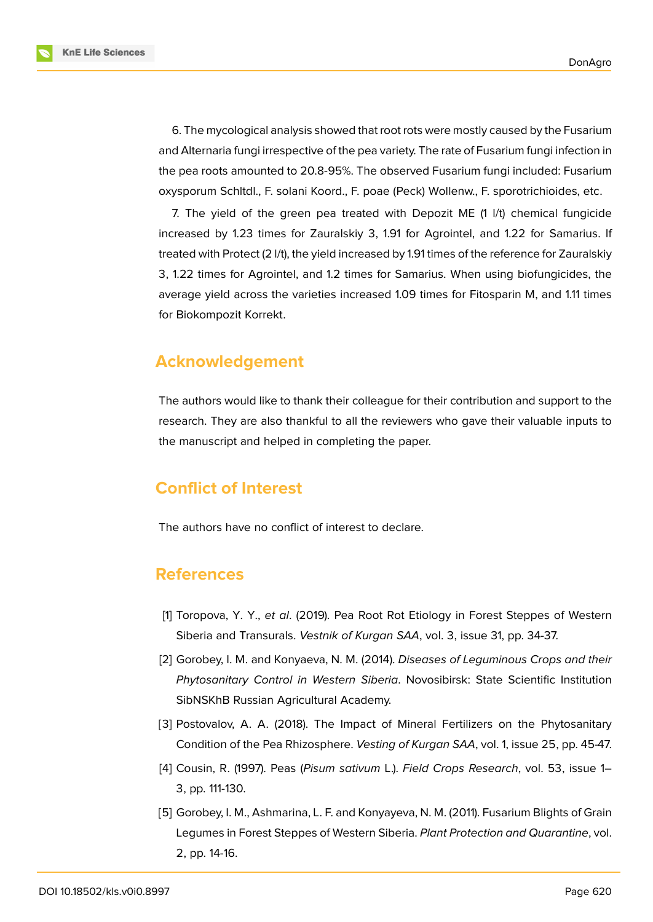**KnE Life Sciences** 

6. The mycological analysis showed that root rots were mostly caused by the Fusarium and Alternaria fungi irrespective of the pea variety. The rate of Fusarium fungi infection in the pea roots amounted to 20.8-95%. The observed Fusarium fungi included: Fusarium oxysporum Schltdl., F. solani Koord., F. poae (Peck) Wollenw., F. sporotrichioides, etc.

7. The yield of the green pea treated with Depozit ME (1 l/t) chemical fungicide increased by 1.23 times for Zauralskiy 3, 1.91 for Agrointel, and 1.22 for Samarius. If treated with Protect (2 l/t), the yield increased by 1.91 times of the reference for Zauralskiy 3, 1.22 times for Agrointel, and 1.2 times for Samarius. When using biofungicides, the average yield across the varieties increased 1.09 times for Fitosparin M, and 1.11 times for Biokompozit Korrekt.

# **Acknowledgement**

The authors would like to thank their colleague for their contribution and support to the research. They are also thankful to all the reviewers who gave their valuable inputs to the manuscript and helped in completing the paper.

# **Conflict of Interest**

The authors have no conflict of interest to declare.

# **References**

- <span id="page-9-2"></span>[1] Toropova, Y. Y., *et al*. (2019). Pea Root Rot Etiology in Forest Steppes of Western Siberia and Transurals. *Vestnik of Kurgan SAA*, vol. 3, issue 31, pp. 34-37.
- [2] Gorobey, I. M. and Konyaeva, N. M. (2014). *Diseases of Leguminous Crops and their Phytosanitary Control in Western Siberia*. Novosibirsk: State Scientific Institution SibNSKhB Russian Agricultural Academy.
- <span id="page-9-0"></span>[3] Postovalov, A. A. (2018). The Impact of Mineral Fertilizers on the Phytosanitary Condition of the Pea Rhizosphere. *Vesting of Kurgan SAA*, vol. 1, issue 25, pp. 45-47.
- [4] Cousin, R. (1997). Peas (*Pisum sativum* L.). *Field Crops Research*, vol. 53, issue 1– 3, pp. 111-130.
- <span id="page-9-1"></span>[5] Gorobey, I. M., Ashmarina, L. F. and Konyayeva, N. M. (2011). Fusarium Blights of Grain Legumes in Forest Steppes of Western Siberia. *Plant Protection and Quarantine*, vol. 2, pp. 14-16.